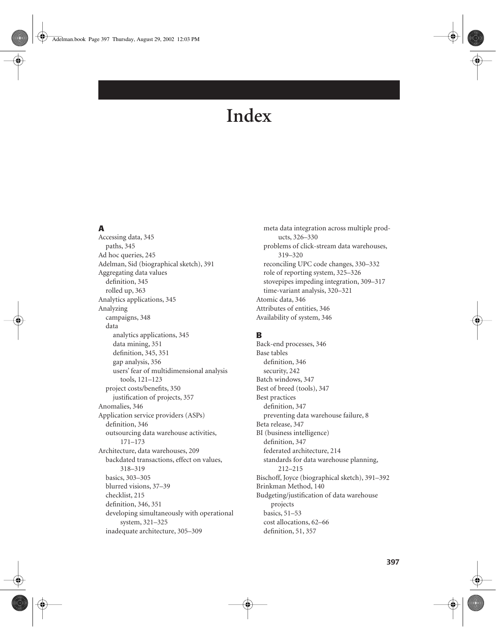# **A**

Accessing data, 345 paths, 345 Ad hoc queries, 245 Adelman, Sid (biographical sketch), 391 Aggregating data values definition, 345 rolled up, 363 Analytics applications, 345 Analyzing campaigns, 348 data analytics applications, 345 data mining, 351 definition, 345, 351 gap analysis, 356 users' fear of multidimensional analysis tools, 121–123 project costs/benefits, 350 justification of projects, 357 Anomalies, 346 Application service providers (ASPs) definition, 346 outsourcing data warehouse activities, 171–173 Architecture, data warehouses, 209 backdated transactions, effect on values, 318–319 basics, 303–305 blurred visions, 37–39 checklist, 215 definition, 346, 351 developing simultaneously with operational system, 321–325 inadequate architecture, 305–309

meta data integration across multiple products, 326–330 problems of click-stream data warehouses, 319–320 reconciling UPC code changes, 330–332 role of reporting system, 325–326 stovepipes impeding integration, 309–317 time-variant analysis, 320–321 Atomic data, 346 Attributes of entities, 346 Availability of system, 346

# **B**

Back-end processes, 346 Base tables definition, 346 security, 242 Batch windows, 347 Best of breed (tools), 347 Best practices definition, 347 preventing data warehouse failure, 8 Beta release, 347 BI (business intelligence) definition, 347 federated architecture, 214 standards for data warehouse planning, 212–215 Bischoff, Joyce (biographical sketch), 391–392 Brinkman Method, 140 Budgeting/justification of data warehouse projects basics, 51–53 cost allocations, 62–66 definition, 51, 357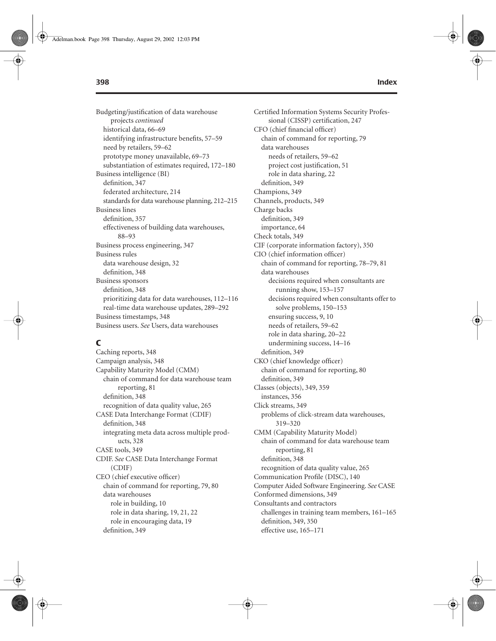Budgeting/justification of data warehouse projects *continued* historical data, 66–69 identifying infrastructure benefits, 57–59 need by retailers, 59–62 prototype money unavailable, 69–73 substantiation of estimates required, 172–180 Business intelligence (BI) definition, 347 federated architecture, 214 standards for data warehouse planning, 212–215 Business lines definition, 357 effectiveness of building data warehouses, 88–93 Business process engineering, 347 Business rules data warehouse design, 32 definition, 348 Business sponsors definition, 348 prioritizing data for data warehouses, 112–116 real-time data warehouse updates, 289–292 Business timestamps, 348 Business users. *See* Users, data warehouses

### **C**

Caching reports, 348 Campaign analysis, 348 Capability Maturity Model (CMM) chain of command for data warehouse team reporting, 81 definition, 348 recognition of data quality value, 265 CASE Data Interchange Format (CDIF) definition, 348 integrating meta data across multiple products, 328 CASE tools, 349 CDIF. *See* CASE Data Interchange Format (CDIF) CEO (chief executive officer) chain of command for reporting, 79, 80 data warehouses role in building, 10 role in data sharing, 19, 21, 22 role in encouraging data, 19 definition, 349

Certified Information Systems Security Professional (CISSP) certification, 247 CFO (chief financial officer) chain of command for reporting, 79 data warehouses needs of retailers, 59–62 project cost justification, 51 role in data sharing, 22 definition, 349 Champions, 349 Channels, products, 349 Charge backs definition, 349 importance, 64 Check totals, 349 CIF (corporate information factory), 350 CIO (chief information officer) chain of command for reporting, 78–79, 81 data warehouses decisions required when consultants are running show, 153–157 decisions required when consultants offer to solve problems, 150–153 ensuring success, 9, 10 needs of retailers, 59–62 role in data sharing, 20–22 undermining success, 14–16 definition, 349 CKO (chief knowledge officer) chain of command for reporting, 80 definition, 349 Classes (objects), 349, 359 instances, 356 Click streams, 349 problems of click-stream data warehouses, 319–320 CMM (Capability Maturity Model) chain of command for data warehouse team reporting, 81 definition, 348 recognition of data quality value, 265 Communication Profile (DISC), 140 Computer Aided Software Engineering. *See* CASE Conformed dimensions, 349 Consultants and contractors challenges in training team members, 161–165 definition, 349, 350

effective use, 165–171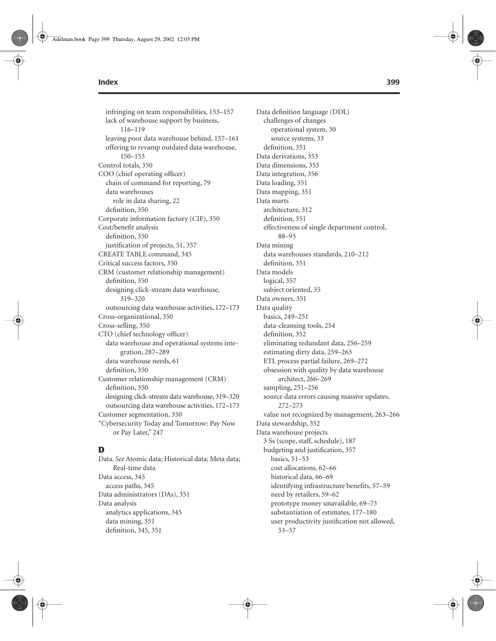infringing on team responsibilities, 153–157 lack of warehouse support by business, 116–119 leaving poor data warehouse behind, 157–161 offering to revamp outdated data warehouse, 150–153 Control totals, 350 COO (chief operating officer) chain of command for reporting, 79 data warehouses role in data sharing, 22 definition, 350 Corporate information factory (CIF), 350 Cost/benefit analysis definition, 350 justification of projects, 51, 357 CREATE TABLE command, 345 Critical success factors, 350 CRM (customer relationship management) definition, 350 designing click-stream data warehouse, 319–320 outsourcing data warehouse activities, 172–173 Cross-organizational, 350 Cross-selling, 350 CTO (chief technology officer) data warehouse and operational systems integration, 287–289 data warehouse needs, 61 definition, 350 Customer relationship management (CRM) definition, 350 designing click-stream data warehouse, 319–320 outsourcing data warehouse activities, 172–173 Customer segmentation, 350 "Cybersecurity Today and Tomorrow: Pay Now or Pay Later," 247

# **D**

Data. *See* Atomic data; Historical data; Meta data; Real-time data Data access, 345 access paths, 345 Data administrators (DAs), 351 Data analysis analytics applications, 345 data mining, 351 definition, 345, 351

Data definition language (DDL) challenges of changes operational system, 30 source systems, 33 definition, 351 Data derivations, 353 Data dimensions, 353 Data integration, 356 Data loading, 351 Data mapping, 351 Data marts architecture, 312 definition, 351 effectiveness of single department control, 88–93 Data mining data warehouses standards, 210–212 definition, 351 Data models logical, 357 subject oriented, 35 Data owners, 351 Data quality basics, 249–251 data-cleansing tools, 254 definition, 352 eliminating redundant data, 256–259 estimating dirty data, 259–263 ETL process partial failure, 269–272 obsession with quality by data warehouse architect, 266–269 sampling, 251–256 source data errors causing massive updates, 272–273 value not recognized by management, 263–266 Data stewardship, 352 Data warehouse projects 3 Ss (scope, staff, schedule), 187 budgeting and justification, 357 basics, 51–53 cost allocations, 62–66 historical data, 66–69 identifying infrastructure benefits, 57–59 need by retailers, 59–62 prototype money unavailable, 69–73 substantiation of estimates, 177–180 user productivity justification not allowed, 53–57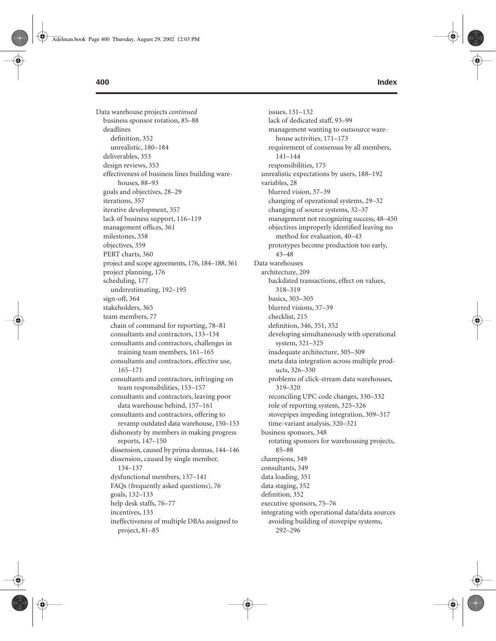Data warehouse projects *continued* business sponsor rotation, 85–88 deadlines definition, 352 unrealistic, 180–184 deliverables, 353 design reviews, 353 effectiveness of business lines building warehouses, 88–93 goals and objectives, 28–29 iterations, 357 iterative development, 357 lack of business support, 116–119 management offices, 361 milestones, 358 objectives, 359 PERT charts, 360 project and scope agreements, 176, 184–188, 361 project planning, 176 scheduling, 177 underestimating, 192–195 sign-off, 364 stakeholders, 365 team members, 77 chain of command for reporting, 78–81 consultants and contractors, 133–134 consultants and contractors, challenges in training team members, 161–165 consultants and contractors, effective use, 165–171 consultants and contractors, infringing on team responsibilities, 153–157 consultants and contractors, leaving poor data warehouse behind, 157–161 consultants and contractors, offering to revamp outdated data warehouse, 150–153 dishonesty by members in making progress reports, 147–150 dissension, caused by prima donnas, 144–146 dissension, caused by single member, 134–137 dysfunctional members, 137–141 FAQs (frequently asked questions), 76 goals, 132–133 help desk staffs, 76–77 incentives, 133 ineffectiveness of multiple DBAs assigned to project, 81–85

### issues, 131–132 lack of dedicated staff, 93–99 management wanting to outsource warehouse activities, 171–173 requirement of consensus by all members, 141–144 responsibilities, 175 unrealistic expectations by users, 188–192 variables, 28 blurred vision, 37–39 changing of operational systems, 29–32 changing of source systems, 32–37 management not recognizing success, 48–450 objectives improperly identified leaving no method for evaluation, 40–43 prototypes become production too early, 43–48 Data warehouses architecture, 209 backdated transactions, effect on values, 318–319 basics, 303–305 blurred visions, 37–39 checklist, 215 definition, 346, 351, 352 developing simultaneously with operational system, 321–325 inadequate architecture, 305–309 meta data integration across multiple products, 326–330 problems of click-stream data warehouses, 319–320 reconciling UPC code changes, 330–332 role of reporting system, 325–326 stovepipes impeding integration, 309–317 time-variant analysis, 320–321 business sponsors, 348 rotating sponsors for warehousing projects, 85–88 champions, 349 consultants, 349 data loading, 351 data staging, 352

executive sponsors, 75–76 integrating with operational data/data sources avoiding building of stovepipe systems, 292–296

definition, 352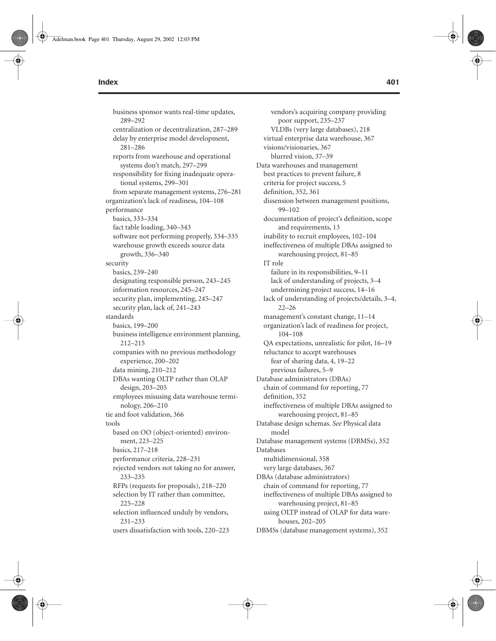business sponsor wants real-time updates, 289–292 centralization or decentralization, 287–289 delay by enterprise model development, 281–286 reports from warehouse and operational systems don't match, 297–299 responsibility for fixing inadequate operational systems, 299–301 from separate management systems, 276–281 organization's lack of readiness, 104–108 performance basics, 333–334 fact table loading, 340–343 software not performing properly, 334–335 warehouse growth exceeds source data growth, 336–340 security basics, 239–240 designating responsible person, 243–245 information resources, 245–247 security plan, implementing, 245–247 security plan, lack of, 241–243 standards basics, 199–200 business intelligence environment planning, 212–215 companies with no previous methodology experience, 200–202 data mining, 210–212 DBAs wanting OLTP rather than OLAP design, 203–205 employees misusing data warehouse terminology, 206–210 tie and foot validation, 366 tools based on OO (object-oriented) environment, 223–225 basics, 217–218 performance criteria, 228–231 rejected vendors not taking no for answer, 233–235 RFPs (requests for proposals), 218–220 selection by IT rather than committee, 225–228 selection influenced unduly by vendors, 231–233

users dissatisfaction with tools, 220–223

vendors's acquiring company providing poor support, 235–237 VLDBs (very large databases), 218 virtual enterprise data warehouse, 367 visions/visionaries, 367 blurred vision, 37–39 Data warehouses and management best practices to prevent failure, 8 criteria for project success, 5 definition, 352, 361 dissension between management positions, 99–102 documentation of project's definition, scope and requirements, 13 inability to recruit employees, 102–104 ineffectiveness of multiple DBAs assigned to warehousing project, 81–85 IT role failure in its responsibilities, 9–11 lack of understanding of projects, 3–4 undermining project success, 14–16 lack of understanding of projects/details, 3–4, 22–26 management's constant change, 11–14 organization's lack of readiness for project, 104–108 QA expectations, unrealistic for pilot, 16–19 reluctance to accept warehouses fear of sharing data, 4, 19–22 previous failures, 5–9 Database administrators (DBAs) chain of command for reporting, 77 definition, 352 ineffectiveness of multiple DBAs assigned to warehousing project, 81–85 Database design schemas. *See* Physical data model Database management systems (DBMSs), 352 Databases multidimensional, 358 very large databases, 367 DBAs (database administrators) chain of command for reporting, 77 ineffectiveness of multiple DBAs assigned to warehousing project, 81–85 using OLTP instead of OLAP for data warehouses, 202–205

DBMSs (database management systems), 352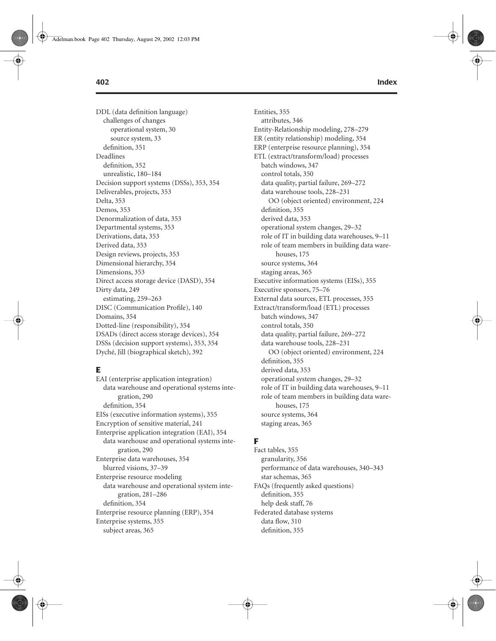DDL (data definition language) challenges of changes operational system, 30 source system, 33 definition, 351 Deadlines definition, 352 unrealistic, 180–184 Decision support systems (DSSs), 353, 354 Deliverables, projects, 353 Delta, 353 Demos, 353 Denormalization of data, 353 Departmental systems, 353 Derivations, data, 353 Derived data, 353 Design reviews, projects, 353 Dimensional hierarchy, 354 Dimensions, 353 Direct access storage device (DASD), 354 Dirty data, 249 estimating, 259–263 DISC (Communication Profile), 140 Domains, 354 Dotted-line (responsibility), 354 DSADs (direct access storage devices), 354 DSSs (decision support systems), 353, 354 Dyché, Jill (biographical sketch), 392

# **E**

EAI (enterprise application integration) data warehouse and operational systems integration, 290 definition, 354 EISs (executive information systems), 355 Encryption of sensitive material, 241 Enterprise application integration (EAI), 354 data warehouse and operational systems integration, 290 Enterprise data warehouses, 354 blurred visions, 37–39 Enterprise resource modeling data warehouse and operational system integration, 281–286 definition, 354 Enterprise resource planning (ERP), 354 Enterprise systems, 355 subject areas, 365

Entities, 355 attributes, 346 Entity-Relationship modeling, 278–279 ER (entity relationship) modeling, 354 ERP (enterprise resource planning), 354 ETL (extract/transform/load) processes batch windows, 347 control totals, 350 data quality, partial failure, 269–272 data warehouse tools, 228–231 OO (object oriented) environment, 224 definition, 355 derived data, 353 operational system changes, 29–32 role of IT in building data warehouses, 9–11 role of team members in building data warehouses, 175 source systems, 364 staging areas, 365 Executive information systems (EISs), 355 Executive sponsors, 75–76 External data sources, ETL processes, 355 Extract/transform/load (ETL) processes batch windows, 347 control totals, 350 data quality, partial failure, 269–272 data warehouse tools, 228–231 OO (object oriented) environment, 224 definition, 355 derived data, 353 operational system changes, 29–32 role of IT in building data warehouses, 9–11 role of team members in building data warehouses, 175 source systems, 364 staging areas, 365

# **F**

Fact tables, 355 granularity, 356 performance of data warehouses, 340–343 star schemas, 365 FAQs (frequently asked questions) definition, 355 help desk staff, 76 Federated database systems data flow, 310 definition, 355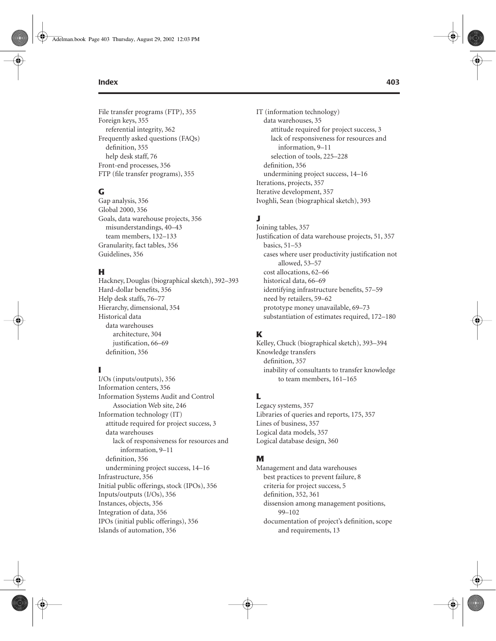File transfer programs (FTP), 355 Foreign keys, 355 referential integrity, 362 Frequently asked questions (FAQs) definition, 355 help desk staff, 76 Front-end processes, 356 FTP (file transfer programs), 355

### **G**

Gap analysis, 356 Global 2000, 356 Goals, data warehouse projects, 356 misunderstandings, 40–43 team members, 132–133 Granularity, fact tables, 356 Guidelines, 356

# **H**

Hackney, Douglas (biographical sketch), 392–393 Hard-dollar benefits, 356 Help desk staffs, 76–77 Hierarchy, dimensional, 354 Historical data data warehouses architecture, 304 justification, 66–69 definition, 356

### **I**

I/Os (inputs/outputs), 356 Information centers, 356 Information Systems Audit and Control Association Web site, 246 Information technology (IT) attitude required for project success, 3 data warehouses lack of responsiveness for resources and information, 9–11 definition, 356 undermining project success, 14–16 Infrastructure, 356 Initial public offerings, stock (IPOs), 356 Inputs/outputs (I/Os), 356 Instances, objects, 356 Integration of data, 356 IPOs (initial public offerings), 356 Islands of automation, 356

IT (information technology) data warehouses, 35 attitude required for project success, 3 lack of responsiveness for resources and information, 9–11 selection of tools, 225–228 definition, 356 undermining project success, 14–16 Iterations, projects, 357 Iterative development, 357 Ivoghli, Sean (biographical sketch), 393

# **J**

Joining tables, 357 Justification of data warehouse projects, 51, 357 basics, 51–53 cases where user productivity justification not allowed, 53–57 cost allocations, 62–66 historical data, 66–69 identifying infrastructure benefits, 57–59 need by retailers, 59–62 prototype money unavailable, 69–73 substantiation of estimates required, 172–180

# **K**

Kelley, Chuck (biographical sketch), 393–394 Knowledge transfers definition, 357 inability of consultants to transfer knowledge to team members, 161–165

### **L**

Legacy systems, 357 Libraries of queries and reports, 175, 357 Lines of business, 357 Logical data models, 357 Logical database design, 360

### **M**

Management and data warehouses best practices to prevent failure, 8 criteria for project success, 5 definition, 352, 361 dissension among management positions, 99–102 documentation of project's definition, scope and requirements, 13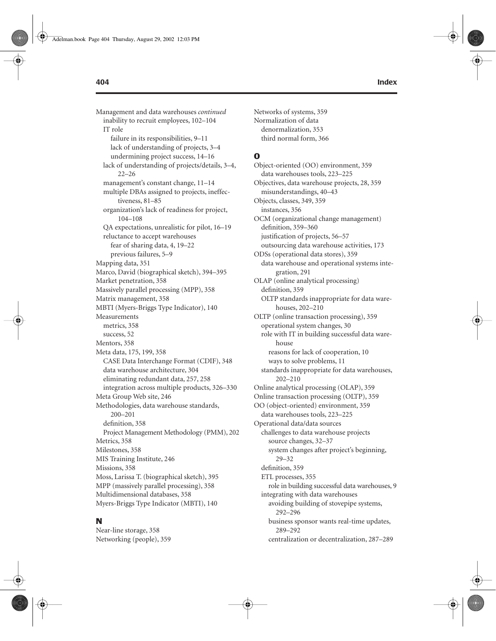Management and data warehouses *continued* inability to recruit employees, 102–104 IT role failure in its responsibilities, 9–11 lack of understanding of projects, 3–4 undermining project success, 14–16 lack of understanding of projects/details, 3–4, 22–26 management's constant change, 11–14 multiple DBAs assigned to projects, ineffectiveness, 81–85 organization's lack of readiness for project, 104–108 QA expectations, unrealistic for pilot, 16–19 reluctance to accept warehouses fear of sharing data, 4, 19–22 previous failures, 5–9 Mapping data, 351 Marco, David (biographical sketch), 394–395 Market penetration, 358 Massively parallel processing (MPP), 358 Matrix management, 358 MBTI (Myers-Briggs Type Indicator), 140 Measurements metrics, 358 success, 52 Mentors, 358 Meta data, 175, 199, 358 CASE Data Interchange Format (CDIF), 348 data warehouse architecture, 304 eliminating redundant data, 257, 258 integration across multiple products, 326–330 Meta Group Web site, 246 Methodologies, data warehouse standards, 200–201 definition, 358 Project Management Methodology (PMM), 202 Metrics, 358 Milestones, 358 MIS Training Institute, 246 Missions, 358 Moss, Larissa T. (biographical sketch), 395 MPP (massively parallel processing), 358 Multidimensional databases, 358 Myers-Briggs Type Indicator (MBTI), 140

#### **N**

Near-line storage, 358 Networking (people), 359

Networks of systems, 359 Normalization of data denormalization, 353 third normal form, 366

### **O**

Object-oriented (OO) environment, 359 data warehouses tools, 223–225 Objectives, data warehouse projects, 28, 359 misunderstandings, 40–43 Objects, classes, 349, 359 instances, 356 OCM (organizational change management) definition, 359–360 justification of projects, 56–57 outsourcing data warehouse activities, 173 ODSs (operational data stores), 359 data warehouse and operational systems integration, 291 OLAP (online analytical processing) definition, 359 OLTP standards inappropriate for data warehouses, 202–210 OLTP (online transaction processing), 359 operational system changes, 30 role with IT in building successful data warehouse reasons for lack of cooperation, 10 ways to solve problems, 11 standards inappropriate for data warehouses, 202–210 Online analytical processing (OLAP), 359 Online transaction processing (OLTP), 359 OO (object-oriented) environment, 359 data warehouses tools, 223–225 Operational data/data sources challenges to data warehouse projects source changes, 32–37 system changes after project's beginning, 29–32 definition, 359 ETL processes, 355 role in building successful data warehouses, 9 integrating with data warehouses avoiding building of stovepipe systems, 292–296 business sponsor wants real-time updates, 289–292 centralization or decentralization, 287–289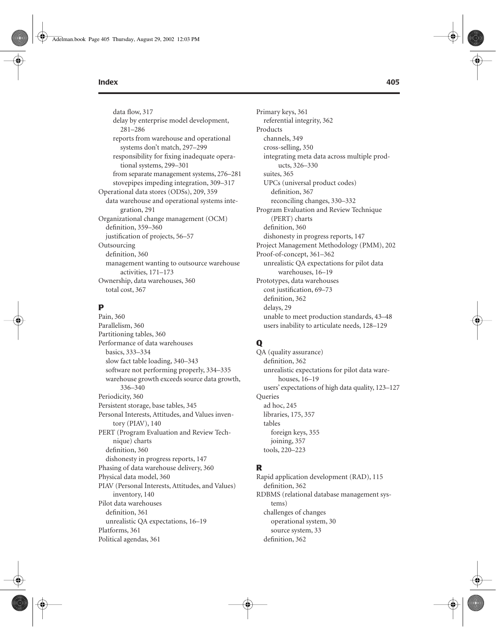data flow, 317 delay by enterprise model development, 281–286 reports from warehouse and operational systems don't match, 297–299 responsibility for fixing inadequate operational systems, 299–301 from separate management systems, 276–281 stovepipes impeding integration, 309–317 Operational data stores (ODSs), 209, 359 data warehouse and operational systems integration, 291 Organizational change management (OCM) definition, 359–360 justification of projects, 56–57 Outsourcing definition, 360 management wanting to outsource warehouse activities, 171–173 Ownership, data warehouses, 360 total cost, 367

# **P**

Pain, 360 Parallelism, 360 Partitioning tables, 360 Performance of data warehouses basics, 333–334 slow fact table loading, 340–343 software not performing properly, 334–335 warehouse growth exceeds source data growth, 336–340 Periodicity, 360 Persistent storage, base tables, 345 Personal Interests, Attitudes, and Values inventory (PIAV), 140 PERT (Program Evaluation and Review Technique) charts definition, 360 dishonesty in progress reports, 147 Phasing of data warehouse delivery, 360 Physical data model, 360 PIAV (Personal Interests, Attitudes, and Values) inventory, 140 Pilot data warehouses definition, 361 unrealistic QA expectations, 16–19 Platforms, 361 Political agendas, 361

Primary keys, 361 referential integrity, 362 Products channels, 349 cross-selling, 350 integrating meta data across multiple products, 326–330 suites, 365 UPCs (universal product codes) definition, 367 reconciling changes, 330–332 Program Evaluation and Review Technique (PERT) charts definition, 360 dishonesty in progress reports, 147 Project Management Methodology (PMM), 202 Proof-of-concept, 361–362 unrealistic QA expectations for pilot data warehouses, 16–19 Prototypes, data warehouses cost justification, 69–73 definition, 362 delays, 29 unable to meet production standards, 43–48 users inability to articulate needs, 128–129

### **Q**

QA (quality assurance) definition, 362 unrealistic expectations for pilot data warehouses, 16–19 users' expectations of high data quality, 123–127 Queries ad hoc, 245 libraries, 175, 357 tables foreign keys, 355 joining, 357 tools, 220–223

#### **R**

Rapid application development (RAD), 115 definition, 362 RDBMS (relational database management systems) challenges of changes operational system, 30 source system, 33 definition, 362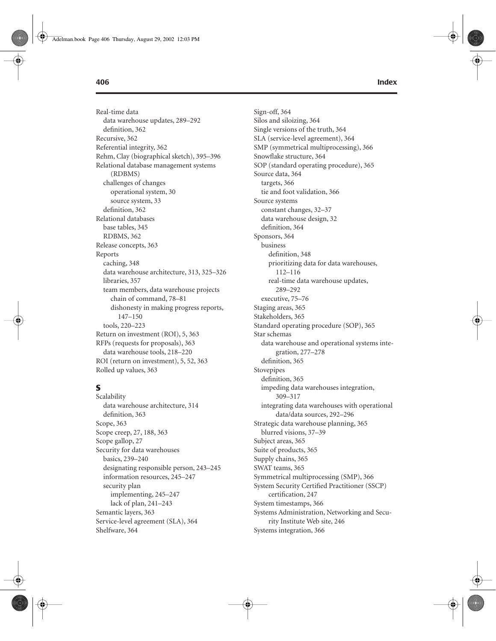Real-time data data warehouse updates, 289–292 definition, 362 Recursive, 362 Referential integrity, 362 Rehm, Clay (biographical sketch), 395–396 Relational database management systems (RDBMS) challenges of changes operational system, 30 source system, 33 definition, 362 Relational databases base tables, 345 RDBMS, 362 Release concepts, 363 Reports caching, 348 data warehouse architecture, 313, 325–326 libraries, 357 team members, data warehouse projects chain of command, 78–81 dishonesty in making progress reports, 147–150 tools, 220–223 Return on investment (ROI), 5, 363 RFPs (requests for proposals), 363 data warehouse tools, 218–220 ROI (return on investment), 5, 52, 363 Rolled up values, 363

# **S**

Scalability data warehouse architecture, 314 definition, 363 Scope, 363 Scope creep, 27, 188, 363 Scope gallop, 27 Security for data warehouses basics, 239–240 designating responsible person, 243–245 information resources, 245–247 security plan implementing, 245–247 lack of plan, 241–243 Semantic layers, 363 Service-level agreement (SLA), 364 Shelfware, 364

Sign-off, 364 Silos and siloizing, 364 Single versions of the truth, 364 SLA (service-level agreement), 364 SMP (symmetrical multiprocessing), 366 Snowflake structure, 364 SOP (standard operating procedure), 365 Source data, 364 targets, 366 tie and foot validation, 366 Source systems constant changes, 32–37 data warehouse design, 32 definition, 364 Sponsors, 364 business definition, 348 prioritizing data for data warehouses, 112–116 real-time data warehouse updates, 289–292 executive, 75–76 Staging areas, 365 Stakeholders, 365 Standard operating procedure (SOP), 365 Star schemas data warehouse and operational systems integration, 277–278 definition, 365 Stovepipes definition, 365 impeding data warehouses integration, 309–317 integrating data warehouses with operational data/data sources, 292–296 Strategic data warehouse planning, 365 blurred visions, 37–39 Subject areas, 365 Suite of products, 365 Supply chains, 365 SWAT teams, 365 Symmetrical multiprocessing (SMP), 366 System Security Certified Practitioner (SSCP) certification, 247 System timestamps, 366 Systems Administration, Networking and Security Institute Web site, 246 Systems integration, 366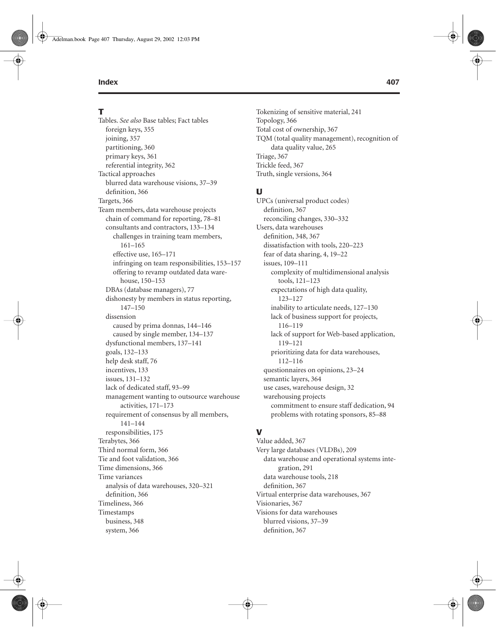### **T**

Tables. *See also* Base tables; Fact tables foreign keys, 355 joining, 357 partitioning, 360 primary keys, 361 referential integrity, 362 Tactical approaches blurred data warehouse visions, 37–39 definition, 366 Targets, 366 Team members, data warehouse projects chain of command for reporting, 78–81 consultants and contractors, 133–134 challenges in training team members, 161–165 effective use, 165–171 infringing on team responsibilities, 153–157 offering to revamp outdated data warehouse, 150–153 DBAs (database managers), 77 dishonesty by members in status reporting, 147–150 dissension caused by prima donnas, 144–146 caused by single member, 134–137 dysfunctional members, 137–141 goals, 132–133 help desk staff, 76 incentives, 133 issues, 131–132 lack of dedicated staff, 93–99 management wanting to outsource warehouse activities, 171–173 requirement of consensus by all members, 141–144 responsibilities, 175 Terabytes, 366 Third normal form, 366 Tie and foot validation, 366 Time dimensions, 366 Time variances analysis of data warehouses, 320–321 definition, 366 Timeliness, 366 Timestamps business, 348 system, 366

Tokenizing of sensitive material, 241 Topology, 366 Total cost of ownership, 367 TQM (total quality management), recognition of data quality value, 265 Triage, 367 Trickle feed, 367 Truth, single versions, 364

#### **U**

UPCs (universal product codes) definition, 367 reconciling changes, 330–332 Users, data warehouses definition, 348, 367 dissatisfaction with tools, 220–223 fear of data sharing, 4, 19–22 issues, 109–111 complexity of multidimensional analysis tools, 121–123 expectations of high data quality, 123–127 inability to articulate needs, 127–130 lack of business support for projects, 116–119 lack of support for Web-based application, 119–121 prioritizing data for data warehouses, 112–116 questionnaires on opinions, 23–24 semantic layers, 364 use cases, warehouse design, 32 warehousing projects commitment to ensure staff dedication, 94 problems with rotating sponsors, 85–88

# **V**

Value added, 367 Very large databases (VLDBs), 209 data warehouse and operational systems integration, 291 data warehouse tools, 218 definition, 367 Virtual enterprise data warehouses, 367 Visionaries, 367 Visions for data warehouses blurred visions, 37–39 definition, 367